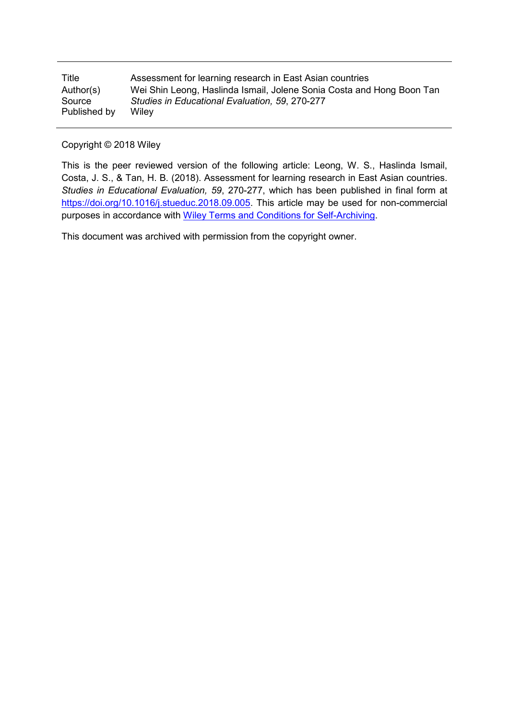| Title        | Assessment for learning research in East Asian countries              |
|--------------|-----------------------------------------------------------------------|
| Author(s)    | Wei Shin Leong, Haslinda Ismail, Jolene Sonia Costa and Hong Boon Tan |
| Source       | Studies in Educational Evaluation, 59, 270-277                        |
| Published by | Wilev                                                                 |

Copyright © 2018 Wiley

This is the peer reviewed version of the following article: Leong, W. S., Haslinda Ismail, Costa, J. S., & Tan, H. B. (2018). Assessment for learning research in East Asian countries. *Studies in Educational Evaluation, 59*, 270-277, which has been published in final form at [https://doi.org/10.1016/j.stueduc.2018.09.005.](https://doi.org/10.1016/j.stueduc.2018.09.005) This article may be used for non-commercial purposes in accordance with [Wiley Terms and Conditions for Self-Archiving.](http://olabout.wiley.com/WileyCDA/Section/id-828039.html#terms)

This document was archived with permission from the copyright owner.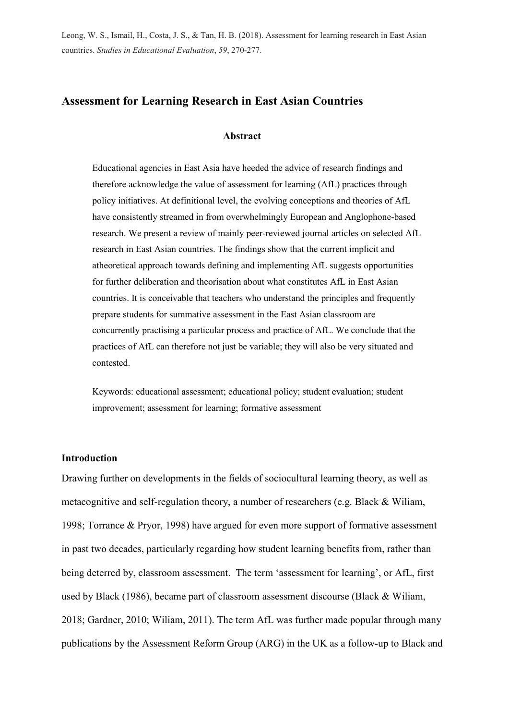# **Assessment for Learning Research in East Asian Countries**

### **Abstract**

Educational agencies in East Asia have heeded the advice of research findings and therefore acknowledge the value of assessment for learning (AfL) practices through policy initiatives. At definitional level, the evolving conceptions and theories of AfL have consistently streamed in from overwhelmingly European and Anglophone-based research. We present a review of mainly peer-reviewed journal articles on selected AfL research in East Asian countries. The findings show that the current implicit and atheoretical approach towards defining and implementing AfL suggests opportunities for further deliberation and theorisation about what constitutes AfL in East Asian countries. It is conceivable that teachers who understand the principles and frequently prepare students for summative assessment in the East Asian classroom are concurrently practising a particular process and practice of AfL. We conclude that the practices of AfL can therefore not just be variable; they will also be very situated and contested.

Keywords: educational assessment; educational policy; student evaluation; student improvement; assessment for learning; formative assessment

### **Introduction**

Drawing further on developments in the fields of sociocultural learning theory, as well as metacognitive and self-regulation theory, a number of researchers (e.g. Black & Wiliam, 1998; Torrance & Pryor, 1998) have argued for even more support of formative assessment in past two decades, particularly regarding how student learning benefits from, rather than being deterred by, classroom assessment. The term 'assessment for learning', or AfL, first used by Black (1986), became part of classroom assessment discourse (Black & Wiliam, 2018; Gardner, 2010; Wiliam, 2011). The term AfL was further made popular through many publications by the Assessment Reform Group (ARG) in the UK as a follow-up to Black and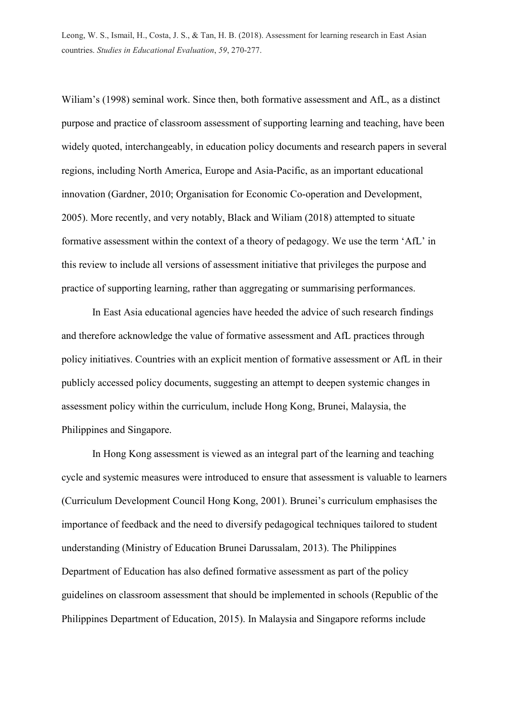Wiliam's (1998) seminal work. Since then, both formative assessment and AfL, as a distinct purpose and practice of classroom assessment of supporting learning and teaching, have been widely quoted, interchangeably, in education policy documents and research papers in several regions, including North America, Europe and Asia-Pacific, as an important educational innovation (Gardner, 2010; Organisation for Economic Co-operation and Development, 2005). More recently, and very notably, Black and Wiliam (2018) attempted to situate formative assessment within the context of a theory of pedagogy. We use the term 'AfL' in this review to include all versions of assessment initiative that privileges the purpose and practice of supporting learning, rather than aggregating or summarising performances.

In East Asia educational agencies have heeded the advice of such research findings and therefore acknowledge the value of formative assessment and AfL practices through policy initiatives. Countries with an explicit mention of formative assessment or AfL in their publicly accessed policy documents, suggesting an attempt to deepen systemic changes in assessment policy within the curriculum, include Hong Kong, Brunei, Malaysia, the Philippines and Singapore.

In Hong Kong assessment is viewed as an integral part of the learning and teaching cycle and systemic measures were introduced to ensure that assessment is valuable to learners (Curriculum Development Council Hong Kong, 2001). Brunei's curriculum emphasises the importance of feedback and the need to diversify pedagogical techniques tailored to student understanding (Ministry of Education Brunei Darussalam, 2013). The Philippines Department of Education has also defined formative assessment as part of the policy guidelines on classroom assessment that should be implemented in schools (Republic of the Philippines Department of Education, 2015). In Malaysia and Singapore reforms include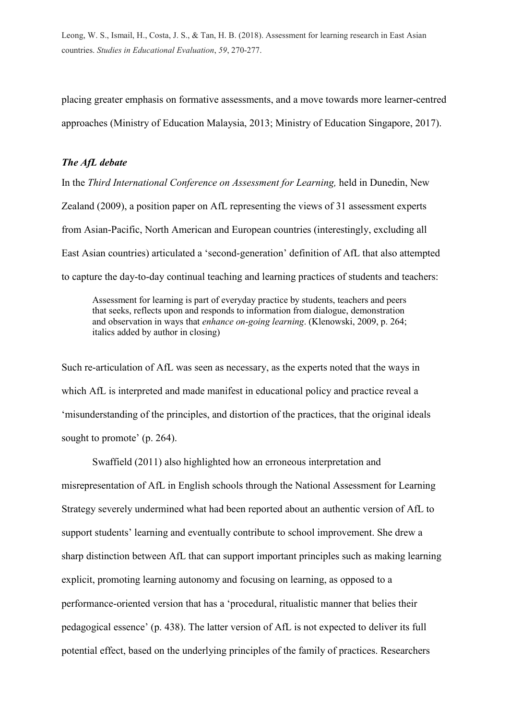placing greater emphasis on formative assessments, and a move towards more learner-centred approaches (Ministry of Education Malaysia, 2013; Ministry of Education Singapore, 2017).

### *The AfL debate*

In the *Third International Conference on Assessment for Learning,* held in Dunedin, New Zealand (2009), a position paper on AfL representing the views of 31 assessment experts from Asian-Pacific, North American and European countries (interestingly, excluding all East Asian countries) articulated a 'second-generation' definition of AfL that also attempted to capture the day-to-day continual teaching and learning practices of students and teachers:

Assessment for learning is part of everyday practice by students, teachers and peers that seeks, reflects upon and responds to information from dialogue, demonstration and observation in ways that *enhance on-going learning*. (Klenowski, 2009, p. 264; italics added by author in closing)

Such re-articulation of AfL was seen as necessary, as the experts noted that the ways in which AfL is interpreted and made manifest in educational policy and practice reveal a 'misunderstanding of the principles, and distortion of the practices, that the original ideals sought to promote' (p. 264).

Swaffield (2011) also highlighted how an erroneous interpretation and misrepresentation of AfL in English schools through the National Assessment for Learning Strategy severely undermined what had been reported about an authentic version of AfL to support students' learning and eventually contribute to school improvement. She drew a sharp distinction between AfL that can support important principles such as making learning explicit, promoting learning autonomy and focusing on learning, as opposed to a performance-oriented version that has a 'procedural, ritualistic manner that belies their pedagogical essence' (p. 438). The latter version of AfL is not expected to deliver its full potential effect, based on the underlying principles of the family of practices. Researchers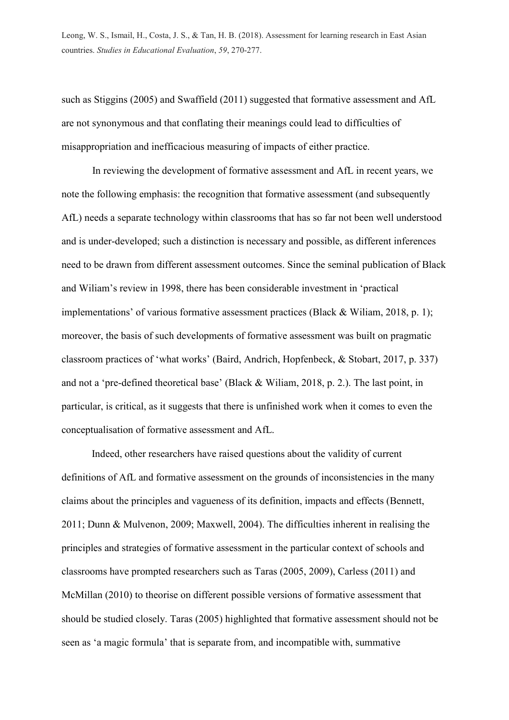such as Stiggins (2005) and Swaffield (2011) suggested that formative assessment and AfL are not synonymous and that conflating their meanings could lead to difficulties of misappropriation and inefficacious measuring of impacts of either practice.

In reviewing the development of formative assessment and AfL in recent years, we note the following emphasis: the recognition that formative assessment (and subsequently AfL) needs a separate technology within classrooms that has so far not been well understood and is under-developed; such a distinction is necessary and possible, as different inferences need to be drawn from different assessment outcomes. Since the seminal publication of Black and Wiliam's review in 1998, there has been considerable investment in 'practical implementations' of various formative assessment practices (Black & Wiliam, 2018, p. 1); moreover, the basis of such developments of formative assessment was built on pragmatic classroom practices of 'what works' (Baird, Andrich, Hopfenbeck, & Stobart, 2017, p. 337) and not a 'pre-defined theoretical base' (Black & Wiliam, 2018, p. 2.). The last point, in particular, is critical, as it suggests that there is unfinished work when it comes to even the conceptualisation of formative assessment and AfL.

Indeed, other researchers have raised questions about the validity of current definitions of AfL and formative assessment on the grounds of inconsistencies in the many claims about the principles and vagueness of its definition, impacts and effects (Bennett, 2011; Dunn & Mulvenon, 2009; Maxwell, 2004). The difficulties inherent in realising the principles and strategies of formative assessment in the particular context of schools and classrooms have prompted researchers such as Taras (2005, 2009), Carless (2011) and McMillan (2010) to theorise on different possible versions of formative assessment that should be studied closely. Taras (2005) highlighted that formative assessment should not be seen as 'a magic formula' that is separate from, and incompatible with, summative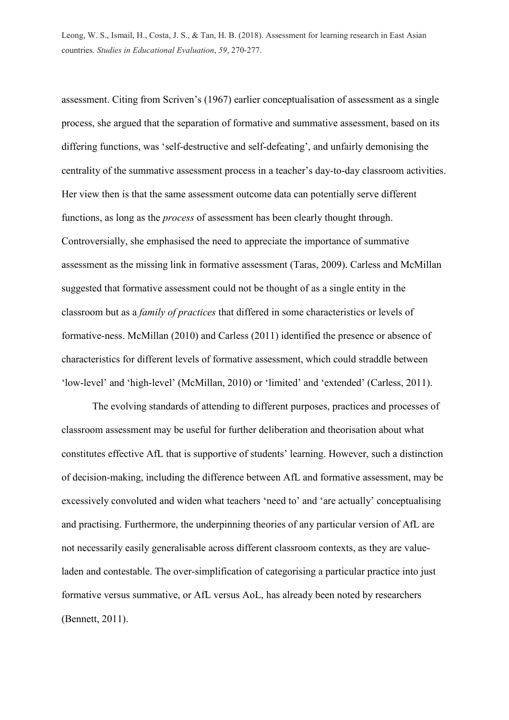assessment. Citing from Scriven's (1967) earlier conceptualisation of assessment as a single process, she argued that the separation of formative and summative assessment, based on its differing functions, was 'self-destructive and self-defeating', and unfairly demonising the centrality of the summative assessment process in a teacher's day-to-day classroom activities. Her view then is that the same assessment outcome data can potentially serve different functions, as long as the *process* of assessment has been clearly thought through. Controversially, she emphasised the need to appreciate the importance of summative assessment as the missing link in formative assessment (Taras, 2009). Carless and McMillan suggested that formative assessment could not be thought of as a single entity in the classroom but as a *family of practices* that differed in some characteristics or levels of formative-ness. McMillan (2010) and Carless (2011) identified the presence or absence of characteristics for different levels of formative assessment, which could straddle between 'low-level' and 'high-level' (McMillan, 2010) or 'limited' and 'extended' (Carless, 2011).

The evolving standards of attending to different purposes, practices and processes of classroom assessment may be useful for further deliberation and theorisation about what constitutes effective AfL that is supportive of students' learning. However, such a distinction of decision-making, including the difference between AfL and formative assessment, may be excessively convoluted and widen what teachers 'need to' and 'are actually' conceptualising and practising. Furthermore, the underpinning theories of any particular version of AfL are not necessarily easily generalisable across different classroom contexts, as they are valueladen and contestable. The over-simplification of categorising a particular practice into just formative versus summative, or AfL versus AoL, has already been noted by researchers (Bennett, 2011).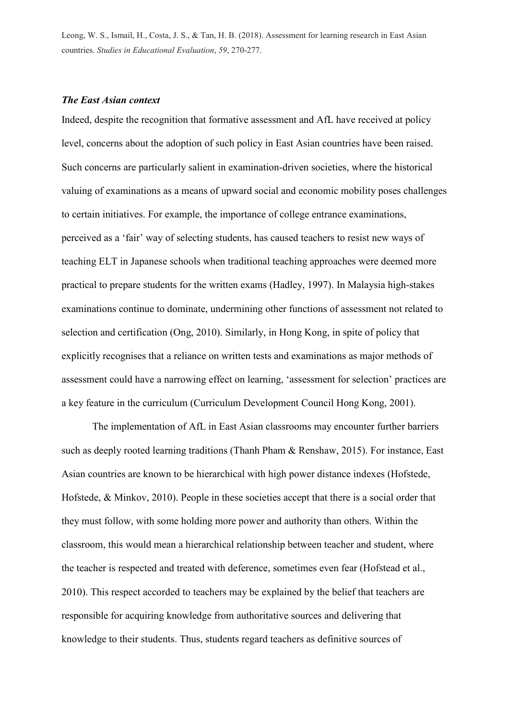### *The East Asian context*

Indeed, despite the recognition that formative assessment and AfL have received at policy level, concerns about the adoption of such policy in East Asian countries have been raised. Such concerns are particularly salient in examination-driven societies, where the historical valuing of examinations as a means of upward social and economic mobility poses challenges to certain initiatives. For example, the importance of college entrance examinations, perceived as a 'fair' way of selecting students, has caused teachers to resist new ways of teaching ELT in Japanese schools when traditional teaching approaches were deemed more practical to prepare students for the written exams (Hadley, 1997). In Malaysia high-stakes examinations continue to dominate, undermining other functions of assessment not related to selection and certification (Ong, 2010). Similarly, in Hong Kong, in spite of policy that explicitly recognises that a reliance on written tests and examinations as major methods of assessment could have a narrowing effect on learning, 'assessment for selection' practices are a key feature in the curriculum (Curriculum Development Council Hong Kong, 2001).

The implementation of AfL in East Asian classrooms may encounter further barriers such as deeply rooted learning traditions (Thanh Pham & Renshaw, 2015). For instance, East Asian countries are known to be hierarchical with high power distance indexes (Hofstede, Hofstede, & Minkov, 2010). People in these societies accept that there is a social order that they must follow, with some holding more power and authority than others. Within the classroom, this would mean a hierarchical relationship between teacher and student, where the teacher is respected and treated with deference, sometimes even fear (Hofstead et al., 2010). This respect accorded to teachers may be explained by the belief that teachers are responsible for acquiring knowledge from authoritative sources and delivering that knowledge to their students. Thus, students regard teachers as definitive sources of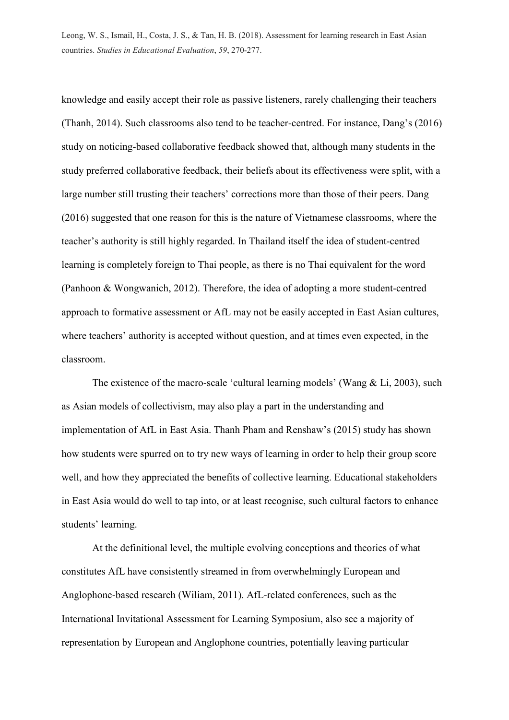knowledge and easily accept their role as passive listeners, rarely challenging their teachers (Thanh, 2014). Such classrooms also tend to be teacher-centred. For instance, Dang's (2016) study on noticing-based collaborative feedback showed that, although many students in the study preferred collaborative feedback, their beliefs about its effectiveness were split, with a large number still trusting their teachers' corrections more than those of their peers. Dang (2016) suggested that one reason for this is the nature of Vietnamese classrooms, where the teacher's authority is still highly regarded. In Thailand itself the idea of student-centred learning is completely foreign to Thai people, as there is no Thai equivalent for the word (Panhoon & Wongwanich, 2012). Therefore, the idea of adopting a more student-centred approach to formative assessment or AfL may not be easily accepted in East Asian cultures, where teachers' authority is accepted without question, and at times even expected, in the classroom.

The existence of the macro-scale 'cultural learning models' (Wang & Li, 2003), such as Asian models of collectivism, may also play a part in the understanding and implementation of AfL in East Asia. Thanh Pham and Renshaw's (2015) study has shown how students were spurred on to try new ways of learning in order to help their group score well, and how they appreciated the benefits of collective learning. Educational stakeholders in East Asia would do well to tap into, or at least recognise, such cultural factors to enhance students' learning.

At the definitional level, the multiple evolving conceptions and theories of what constitutes AfL have consistently streamed in from overwhelmingly European and Anglophone-based research (Wiliam, 2011). AfL-related conferences, such as the International Invitational Assessment for Learning Symposium, also see a majority of representation by European and Anglophone countries, potentially leaving particular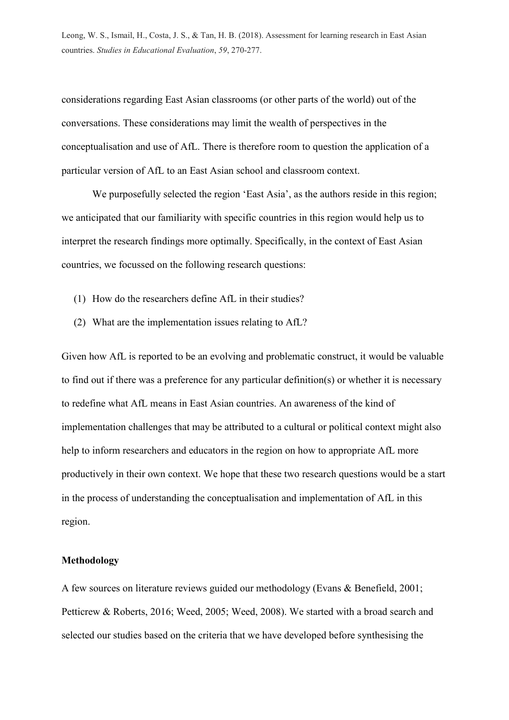considerations regarding East Asian classrooms (or other parts of the world) out of the conversations. These considerations may limit the wealth of perspectives in the conceptualisation and use of AfL. There is therefore room to question the application of a particular version of AfL to an East Asian school and classroom context.

We purposefully selected the region 'East Asia', as the authors reside in this region; we anticipated that our familiarity with specific countries in this region would help us to interpret the research findings more optimally. Specifically, in the context of East Asian countries, we focussed on the following research questions:

- (1) How do the researchers define AfL in their studies?
- (2) What are the implementation issues relating to AfL?

Given how AfL is reported to be an evolving and problematic construct, it would be valuable to find out if there was a preference for any particular definition(s) or whether it is necessary to redefine what AfL means in East Asian countries. An awareness of the kind of implementation challenges that may be attributed to a cultural or political context might also help to inform researchers and educators in the region on how to appropriate AfL more productively in their own context. We hope that these two research questions would be a start in the process of understanding the conceptualisation and implementation of AfL in this region.

### **Methodology**

A few sources on literature reviews guided our methodology (Evans & Benefield, 2001; Petticrew & Roberts, 2016; Weed, 2005; Weed, 2008). We started with a broad search and selected our studies based on the criteria that we have developed before synthesising the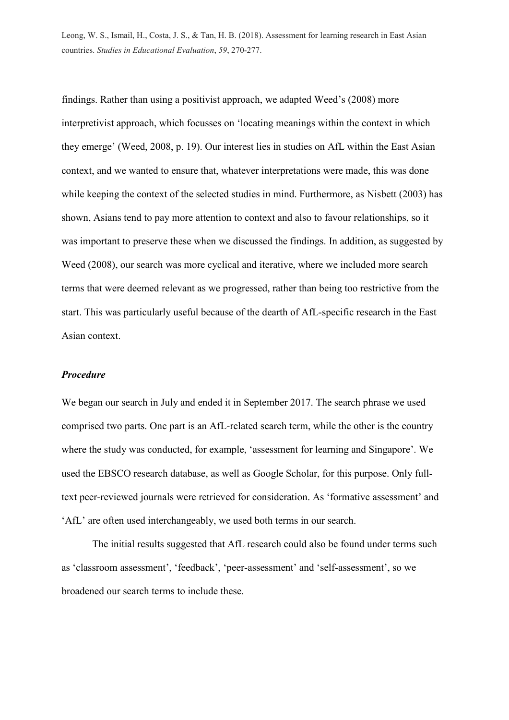findings. Rather than using a positivist approach, we adapted Weed's (2008) more interpretivist approach, which focusses on 'locating meanings within the context in which they emerge' (Weed, 2008, p. 19). Our interest lies in studies on AfL within the East Asian context, and we wanted to ensure that, whatever interpretations were made, this was done while keeping the context of the selected studies in mind. Furthermore, as Nisbett (2003) has shown, Asians tend to pay more attention to context and also to favour relationships, so it was important to preserve these when we discussed the findings. In addition, as suggested by Weed (2008), our search was more cyclical and iterative, where we included more search terms that were deemed relevant as we progressed, rather than being too restrictive from the start. This was particularly useful because of the dearth of AfL-specific research in the East Asian context.

### *Procedure*

We began our search in July and ended it in September 2017. The search phrase we used comprised two parts. One part is an AfL-related search term, while the other is the country where the study was conducted, for example, 'assessment for learning and Singapore'. We used the EBSCO research database, as well as Google Scholar, for this purpose. Only fulltext peer-reviewed journals were retrieved for consideration. As 'formative assessment' and 'AfL' are often used interchangeably, we used both terms in our search.

The initial results suggested that AfL research could also be found under terms such as 'classroom assessment', 'feedback', 'peer-assessment' and 'self-assessment', so we broadened our search terms to include these.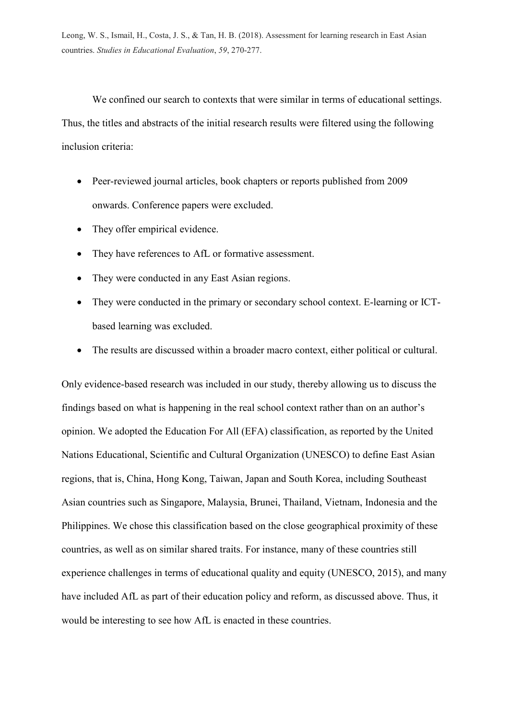We confined our search to contexts that were similar in terms of educational settings. Thus, the titles and abstracts of the initial research results were filtered using the following inclusion criteria:

- Peer-reviewed journal articles, book chapters or reports published from 2009 onwards. Conference papers were excluded.
- They offer empirical evidence.
- They have references to AfL or formative assessment.
- They were conducted in any East Asian regions.
- They were conducted in the primary or secondary school context. E-learning or ICTbased learning was excluded.
- The results are discussed within a broader macro context, either political or cultural.

Only evidence-based research was included in our study, thereby allowing us to discuss the findings based on what is happening in the real school context rather than on an author's opinion. We adopted the Education For All (EFA) classification, as reported by the United Nations Educational, Scientific and Cultural Organization (UNESCO) to define East Asian regions, that is, China, Hong Kong, Taiwan, Japan and South Korea, including Southeast Asian countries such as Singapore, Malaysia, Brunei, Thailand, Vietnam, Indonesia and the Philippines. We chose this classification based on the close geographical proximity of these countries, as well as on similar shared traits. For instance, many of these countries still experience challenges in terms of educational quality and equity (UNESCO, 2015), and many have included AfL as part of their education policy and reform, as discussed above. Thus, it would be interesting to see how AfL is enacted in these countries.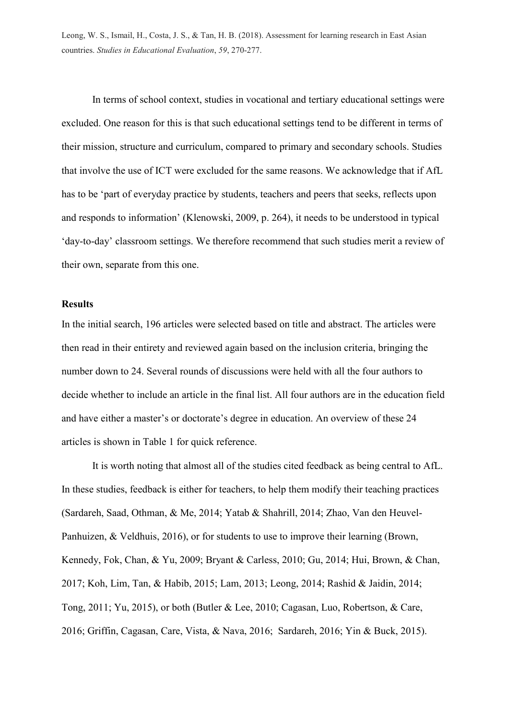In terms of school context, studies in vocational and tertiary educational settings were excluded. One reason for this is that such educational settings tend to be different in terms of their mission, structure and curriculum, compared to primary and secondary schools. Studies that involve the use of ICT were excluded for the same reasons. We acknowledge that if AfL has to be 'part of everyday practice by students, teachers and peers that seeks, reflects upon and responds to information' (Klenowski, 2009, p. 264), it needs to be understood in typical 'day-to-day' classroom settings. We therefore recommend that such studies merit a review of their own, separate from this one.

## **Results**

In the initial search, 196 articles were selected based on title and abstract. The articles were then read in their entirety and reviewed again based on the inclusion criteria, bringing the number down to 24. Several rounds of discussions were held with all the four authors to decide whether to include an article in the final list. All four authors are in the education field and have either a master's or doctorate's degree in education. An overview of these 24 articles is shown in Table 1 for quick reference.

It is worth noting that almost all of the studies cited feedback as being central to AfL. In these studies, feedback is either for teachers, to help them modify their teaching practices (Sardareh, Saad, Othman, & Me, 2014; Yatab & Shahrill, 2014; Zhao, Van den Heuvel-Panhuizen, & Veldhuis, 2016), or for students to use to improve their learning (Brown, Kennedy, Fok, Chan, & Yu, 2009; Bryant & Carless, 2010; Gu, 2014; Hui, Brown, & Chan, 2017; Koh, Lim, Tan, & Habib, 2015; Lam, 2013; Leong, 2014; Rashid & Jaidin, 2014; Tong, 2011; Yu, 2015), or both (Butler & Lee, 2010; Cagasan, Luo, Robertson, & Care, 2016; Griffin, Cagasan, Care, Vista, & Nava, 2016; Sardareh, 2016; Yin & Buck, 2015).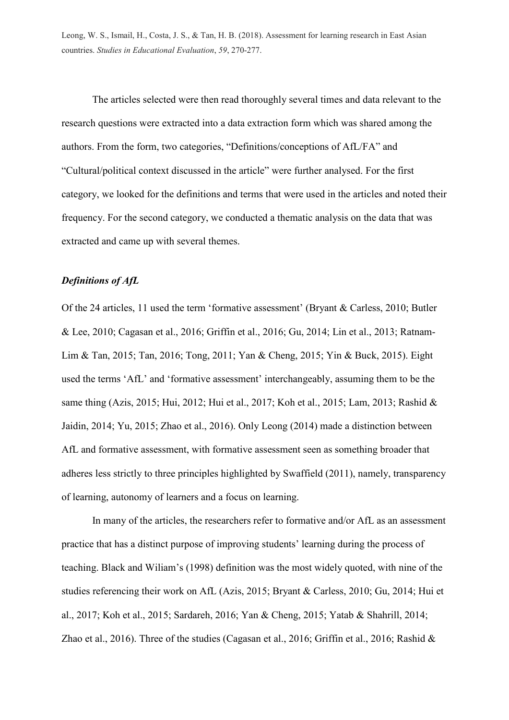The articles selected were then read thoroughly several times and data relevant to the research questions were extracted into a data extraction form which was shared among the authors. From the form, two categories, "Definitions/conceptions of AfL/FA" and "Cultural/political context discussed in the article" were further analysed. For the first category, we looked for the definitions and terms that were used in the articles and noted their frequency. For the second category, we conducted a thematic analysis on the data that was extracted and came up with several themes.

## *Definitions of AfL*

Of the 24 articles, 11 used the term 'formative assessment' (Bryant & Carless, 2010; Butler & Lee, 2010; Cagasan et al., 2016; Griffin et al., 2016; Gu, 2014; Lin et al., 2013; Ratnam-Lim & Tan, 2015; Tan, 2016; Tong, 2011; Yan & Cheng, 2015; Yin & Buck, 2015). Eight used the terms 'AfL' and 'formative assessment' interchangeably, assuming them to be the same thing (Azis, 2015; Hui, 2012; Hui et al., 2017; Koh et al., 2015; Lam, 2013; Rashid & Jaidin, 2014; Yu, 2015; Zhao et al., 2016). Only Leong (2014) made a distinction between AfL and formative assessment, with formative assessment seen as something broader that adheres less strictly to three principles highlighted by Swaffield (2011), namely, transparency of learning, autonomy of learners and a focus on learning.

In many of the articles, the researchers refer to formative and/or AfL as an assessment practice that has a distinct purpose of improving students' learning during the process of teaching. Black and Wiliam's (1998) definition was the most widely quoted, with nine of the studies referencing their work on AfL (Azis, 2015; Bryant & Carless, 2010; Gu, 2014; Hui et al., 2017; Koh et al., 2015; Sardareh, 2016; Yan & Cheng, 2015; Yatab & Shahrill, 2014; Zhao et al., 2016). Three of the studies (Cagasan et al., 2016; Griffin et al., 2016; Rashid &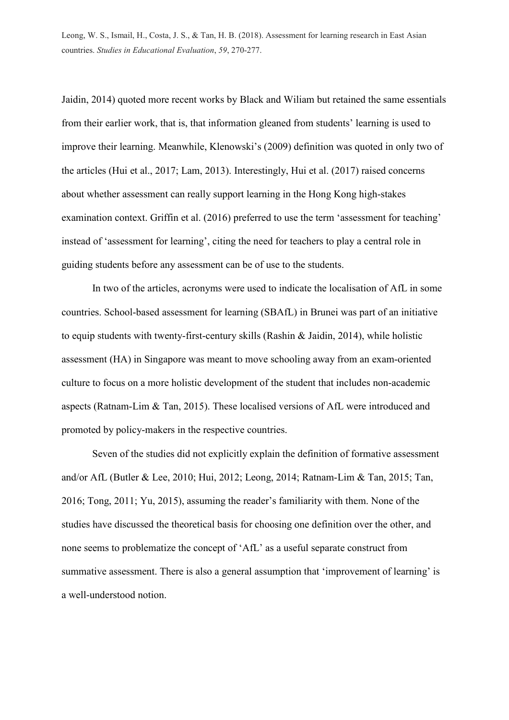Jaidin, 2014) quoted more recent works by Black and Wiliam but retained the same essentials from their earlier work, that is, that information gleaned from students' learning is used to improve their learning. Meanwhile, Klenowski's (2009) definition was quoted in only two of the articles (Hui et al., 2017; Lam, 2013). Interestingly, Hui et al. (2017) raised concerns about whether assessment can really support learning in the Hong Kong high-stakes examination context. Griffin et al. (2016) preferred to use the term 'assessment for teaching' instead of 'assessment for learning', citing the need for teachers to play a central role in guiding students before any assessment can be of use to the students.

In two of the articles, acronyms were used to indicate the localisation of AfL in some countries. School-based assessment for learning (SBAfL) in Brunei was part of an initiative to equip students with twenty-first-century skills (Rashin & Jaidin, 2014), while holistic assessment (HA) in Singapore was meant to move schooling away from an exam-oriented culture to focus on a more holistic development of the student that includes non-academic aspects (Ratnam-Lim & Tan, 2015). These localised versions of AfL were introduced and promoted by policy-makers in the respective countries.

Seven of the studies did not explicitly explain the definition of formative assessment and/or AfL (Butler & Lee, 2010; Hui, 2012; Leong, 2014; Ratnam-Lim & Tan, 2015; Tan, 2016; Tong, 2011; Yu, 2015), assuming the reader's familiarity with them. None of the studies have discussed the theoretical basis for choosing one definition over the other, and none seems to problematize the concept of 'AfL' as a useful separate construct from summative assessment. There is also a general assumption that 'improvement of learning' is a well-understood notion.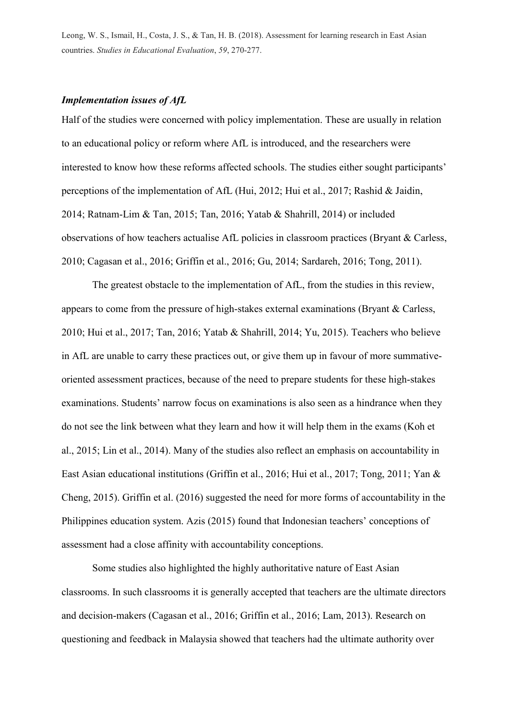## *Implementation issues of AfL*

Half of the studies were concerned with policy implementation. These are usually in relation to an educational policy or reform where AfL is introduced, and the researchers were interested to know how these reforms affected schools. The studies either sought participants' perceptions of the implementation of AfL (Hui, 2012; Hui et al., 2017; Rashid & Jaidin, 2014; Ratnam-Lim & Tan, 2015; Tan, 2016; Yatab & Shahrill, 2014) or included observations of how teachers actualise AfL policies in classroom practices (Bryant & Carless, 2010; Cagasan et al., 2016; Griffin et al., 2016; Gu, 2014; Sardareh, 2016; Tong, 2011).

The greatest obstacle to the implementation of AfL, from the studies in this review, appears to come from the pressure of high-stakes external examinations (Bryant & Carless, 2010; Hui et al., 2017; Tan, 2016; Yatab & Shahrill, 2014; Yu, 2015). Teachers who believe in AfL are unable to carry these practices out, or give them up in favour of more summativeoriented assessment practices, because of the need to prepare students for these high-stakes examinations. Students' narrow focus on examinations is also seen as a hindrance when they do not see the link between what they learn and how it will help them in the exams (Koh et al., 2015; Lin et al., 2014). Many of the studies also reflect an emphasis on accountability in East Asian educational institutions (Griffin et al., 2016; Hui et al., 2017; Tong, 2011; Yan & Cheng, 2015). Griffin et al. (2016) suggested the need for more forms of accountability in the Philippines education system. Azis (2015) found that Indonesian teachers' conceptions of assessment had a close affinity with accountability conceptions.

Some studies also highlighted the highly authoritative nature of East Asian classrooms. In such classrooms it is generally accepted that teachers are the ultimate directors and decision-makers (Cagasan et al., 2016; Griffin et al., 2016; Lam, 2013). Research on questioning and feedback in Malaysia showed that teachers had the ultimate authority over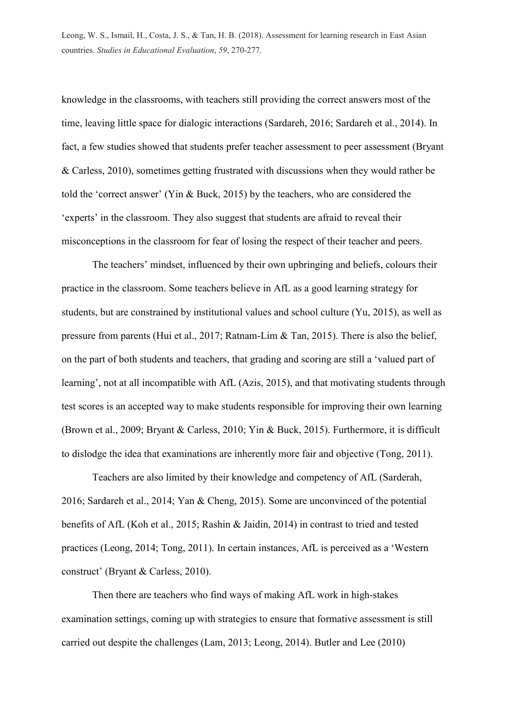knowledge in the classrooms, with teachers still providing the correct answers most of the time, leaving little space for dialogic interactions (Sardareh, 2016; Sardareh et al., 2014). In fact, a few studies showed that students prefer teacher assessment to peer assessment (Bryant & Carless, 2010), sometimes getting frustrated with discussions when they would rather be told the 'correct answer' (Yin & Buck, 2015) by the teachers, who are considered the 'experts' in the classroom. They also suggest that students are afraid to reveal their misconceptions in the classroom for fear of losing the respect of their teacher and peers.

The teachers' mindset, influenced by their own upbringing and beliefs, colours their practice in the classroom. Some teachers believe in AfL as a good learning strategy for students, but are constrained by institutional values and school culture (Yu, 2015), as well as pressure from parents (Hui et al., 2017; Ratnam-Lim & Tan, 2015). There is also the belief, on the part of both students and teachers, that grading and scoring are still a 'valued part of learning', not at all incompatible with AfL (Azis, 2015), and that motivating students through test scores is an accepted way to make students responsible for improving their own learning (Brown et al., 2009; Bryant & Carless, 2010; Yin & Buck, 2015). Furthermore, it is difficult to dislodge the idea that examinations are inherently more fair and objective (Tong, 2011).

Teachers are also limited by their knowledge and competency of AfL (Sarderah, 2016; Sardareh et al., 2014; Yan & Cheng, 2015). Some are unconvinced of the potential benefits of AfL (Koh et al., 2015; Rashin & Jaidin, 2014) in contrast to tried and tested practices (Leong, 2014; Tong, 2011). In certain instances, AfL is perceived as a 'Western construct' (Bryant & Carless, 2010).

Then there are teachers who find ways of making AfL work in high-stakes examination settings, coming up with strategies to ensure that formative assessment is still carried out despite the challenges (Lam, 2013; Leong, 2014). Butler and Lee (2010)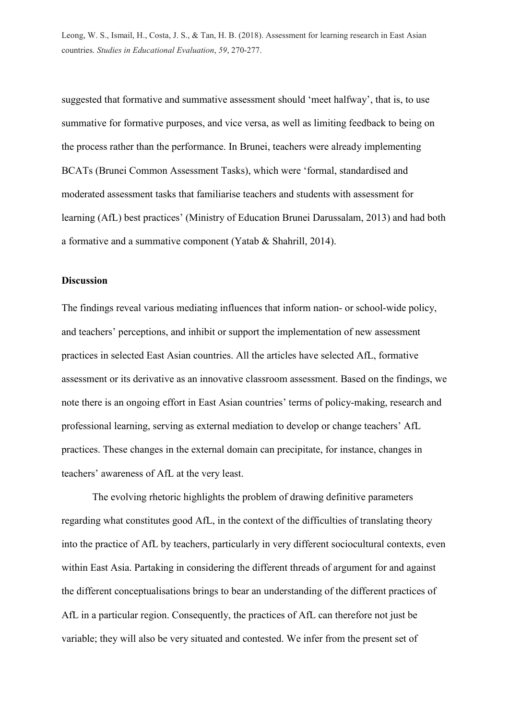suggested that formative and summative assessment should 'meet halfway', that is, to use summative for formative purposes, and vice versa, as well as limiting feedback to being on the process rather than the performance. In Brunei, teachers were already implementing BCATs (Brunei Common Assessment Tasks), which were 'formal, standardised and moderated assessment tasks that familiarise teachers and students with assessment for learning (AfL) best practices' (Ministry of Education Brunei Darussalam, 2013) and had both a formative and a summative component (Yatab & Shahrill, 2014).

### **Discussion**

The findings reveal various mediating influences that inform nation- or school-wide policy, and teachers' perceptions, and inhibit or support the implementation of new assessment practices in selected East Asian countries. All the articles have selected AfL, formative assessment or its derivative as an innovative classroom assessment. Based on the findings, we note there is an ongoing effort in East Asian countries' terms of policy-making, research and professional learning, serving as external mediation to develop or change teachers' AfL practices. These changes in the external domain can precipitate, for instance, changes in teachers' awareness of AfL at the very least.

The evolving rhetoric highlights the problem of drawing definitive parameters regarding what constitutes good AfL, in the context of the difficulties of translating theory into the practice of AfL by teachers, particularly in very different sociocultural contexts, even within East Asia. Partaking in considering the different threads of argument for and against the different conceptualisations brings to bear an understanding of the different practices of AfL in a particular region. Consequently, the practices of AfL can therefore not just be variable; they will also be very situated and contested. We infer from the present set of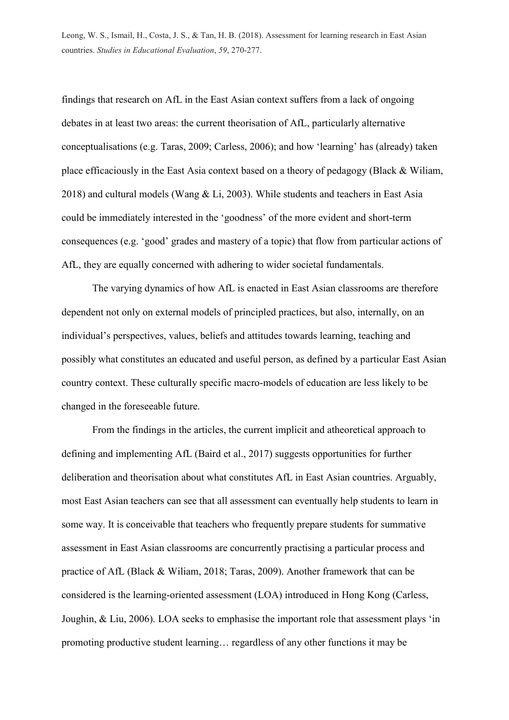findings that research on AfL in the East Asian context suffers from a lack of ongoing debates in at least two areas: the current theorisation of AfL, particularly alternative conceptualisations (e.g. Taras, 2009; Carless, 2006); and how 'learning' has (already) taken place efficaciously in the East Asia context based on a theory of pedagogy (Black & Wiliam, 2018) and cultural models (Wang & Li, 2003). While students and teachers in East Asia could be immediately interested in the 'goodness' of the more evident and short-term consequences (e.g. 'good' grades and mastery of a topic) that flow from particular actions of AfL, they are equally concerned with adhering to wider societal fundamentals.

The varying dynamics of how AfL is enacted in East Asian classrooms are therefore dependent not only on external models of principled practices, but also, internally, on an individual's perspectives, values, beliefs and attitudes towards learning, teaching and possibly what constitutes an educated and useful person, as defined by a particular East Asian country context. These culturally specific macro-models of education are less likely to be changed in the foreseeable future.

From the findings in the articles, the current implicit and atheoretical approach to defining and implementing AfL (Baird et al., 2017) suggests opportunities for further deliberation and theorisation about what constitutes AfL in East Asian countries. Arguably, most East Asian teachers can see that all assessment can eventually help students to learn in some way. It is conceivable that teachers who frequently prepare students for summative assessment in East Asian classrooms are concurrently practising a particular process and practice of AfL (Black & Wiliam, 2018; Taras, 2009). Another framework that can be considered is the learning-oriented assessment (LOA) introduced in Hong Kong (Carless, Joughin, & Liu, 2006). LOA seeks to emphasise the important role that assessment plays 'in promoting productive student learning… regardless of any other functions it may be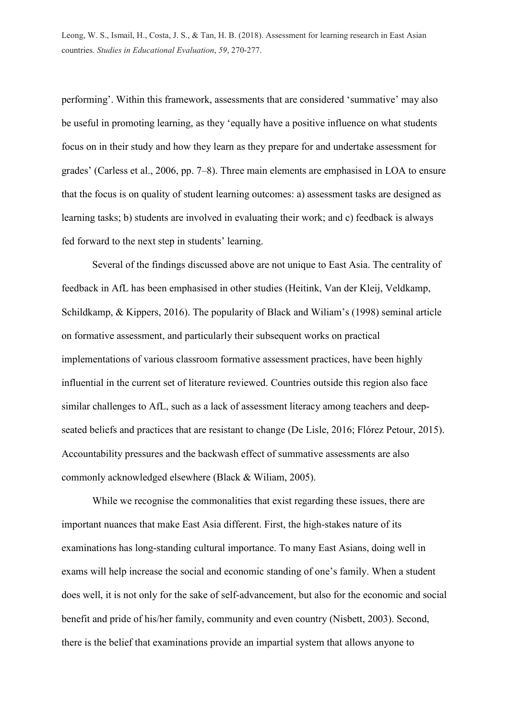performing'. Within this framework, assessments that are considered 'summative' may also be useful in promoting learning, as they 'equally have a positive influence on what students focus on in their study and how they learn as they prepare for and undertake assessment for grades' (Carless et al., 2006, pp. 7–8). Three main elements are emphasised in LOA to ensure that the focus is on quality of student learning outcomes: a) assessment tasks are designed as learning tasks; b) students are involved in evaluating their work; and c) feedback is always fed forward to the next step in students' learning.

Several of the findings discussed above are not unique to East Asia. The centrality of feedback in AfL has been emphasised in other studies (Heitink, Van der Kleij, Veldkamp, Schildkamp, & Kippers, 2016). The popularity of Black and Wiliam's (1998) seminal article on formative assessment, and particularly their subsequent works on practical implementations of various classroom formative assessment practices, have been highly influential in the current set of literature reviewed. Countries outside this region also face similar challenges to AfL, such as a lack of assessment literacy among teachers and deepseated beliefs and practices that are resistant to change (De Lisle, 2016; Flórez Petour, 2015). Accountability pressures and the backwash effect of summative assessments are also commonly acknowledged elsewhere (Black & Wiliam, 2005).

While we recognise the commonalities that exist regarding these issues, there are important nuances that make East Asia different. First, the high-stakes nature of its examinations has long-standing cultural importance. To many East Asians, doing well in exams will help increase the social and economic standing of one's family. When a student does well, it is not only for the sake of self-advancement, but also for the economic and social benefit and pride of his/her family, community and even country (Nisbett, 2003). Second, there is the belief that examinations provide an impartial system that allows anyone to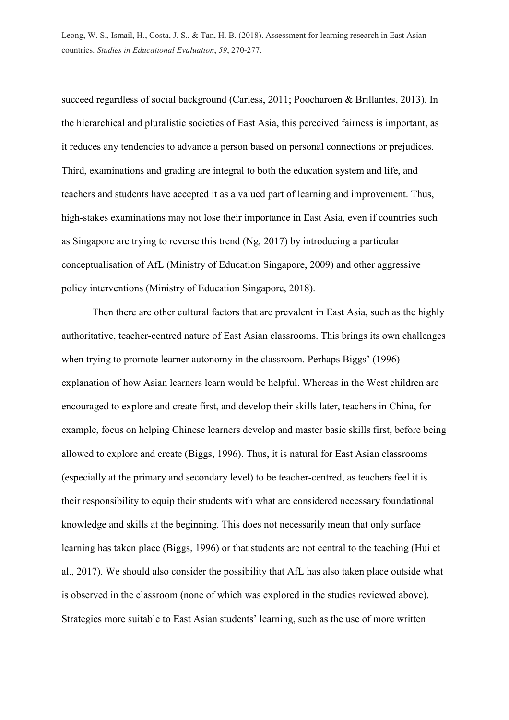succeed regardless of social background (Carless, 2011; Poocharoen & Brillantes, 2013). In the hierarchical and pluralistic societies of East Asia, this perceived fairness is important, as it reduces any tendencies to advance a person based on personal connections or prejudices. Third, examinations and grading are integral to both the education system and life, and teachers and students have accepted it as a valued part of learning and improvement. Thus, high-stakes examinations may not lose their importance in East Asia, even if countries such as Singapore are trying to reverse this trend (Ng, 2017) by introducing a particular conceptualisation of AfL (Ministry of Education Singapore, 2009) and other aggressive policy interventions (Ministry of Education Singapore, 2018).

Then there are other cultural factors that are prevalent in East Asia, such as the highly authoritative, teacher-centred nature of East Asian classrooms. This brings its own challenges when trying to promote learner autonomy in the classroom. Perhaps Biggs' (1996) explanation of how Asian learners learn would be helpful. Whereas in the West children are encouraged to explore and create first, and develop their skills later, teachers in China, for example, focus on helping Chinese learners develop and master basic skills first, before being allowed to explore and create (Biggs, 1996). Thus, it is natural for East Asian classrooms (especially at the primary and secondary level) to be teacher-centred, as teachers feel it is their responsibility to equip their students with what are considered necessary foundational knowledge and skills at the beginning. This does not necessarily mean that only surface learning has taken place (Biggs, 1996) or that students are not central to the teaching (Hui et al., 2017). We should also consider the possibility that AfL has also taken place outside what is observed in the classroom (none of which was explored in the studies reviewed above). Strategies more suitable to East Asian students' learning, such as the use of more written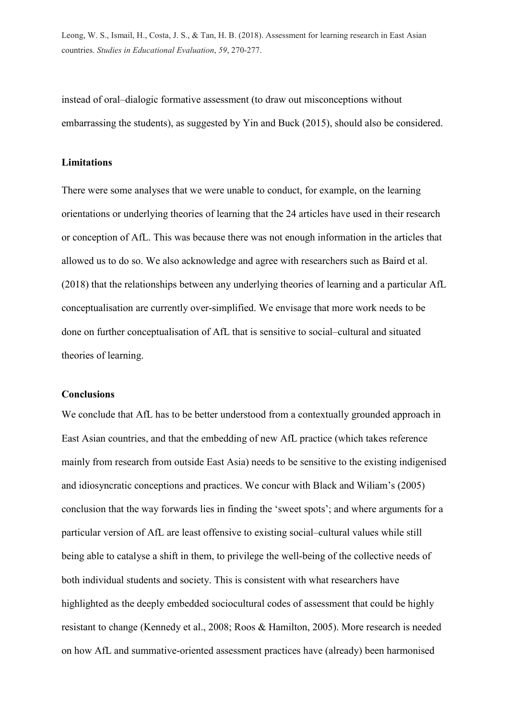instead of oral–dialogic formative assessment (to draw out misconceptions without embarrassing the students), as suggested by Yin and Buck (2015), should also be considered.

### **Limitations**

There were some analyses that we were unable to conduct, for example, on the learning orientations or underlying theories of learning that the 24 articles have used in their research or conception of AfL. This was because there was not enough information in the articles that allowed us to do so. We also acknowledge and agree with researchers such as Baird et al. (2018) that the relationships between any underlying theories of learning and a particular AfL conceptualisation are currently over-simplified. We envisage that more work needs to be done on further conceptualisation of AfL that is sensitive to social–cultural and situated theories of learning.

## **Conclusions**

We conclude that AfL has to be better understood from a contextually grounded approach in East Asian countries, and that the embedding of new AfL practice (which takes reference mainly from research from outside East Asia) needs to be sensitive to the existing indigenised and idiosyncratic conceptions and practices. We concur with Black and Wiliam's (2005) conclusion that the way forwards lies in finding the 'sweet spots'; and where arguments for a particular version of AfL are least offensive to existing social–cultural values while still being able to catalyse a shift in them, to privilege the well-being of the collective needs of both individual students and society. This is consistent with what researchers have highlighted as the deeply embedded sociocultural codes of assessment that could be highly resistant to change (Kennedy et al., 2008; Roos & Hamilton, 2005). More research is needed on how AfL and summative-oriented assessment practices have (already) been harmonised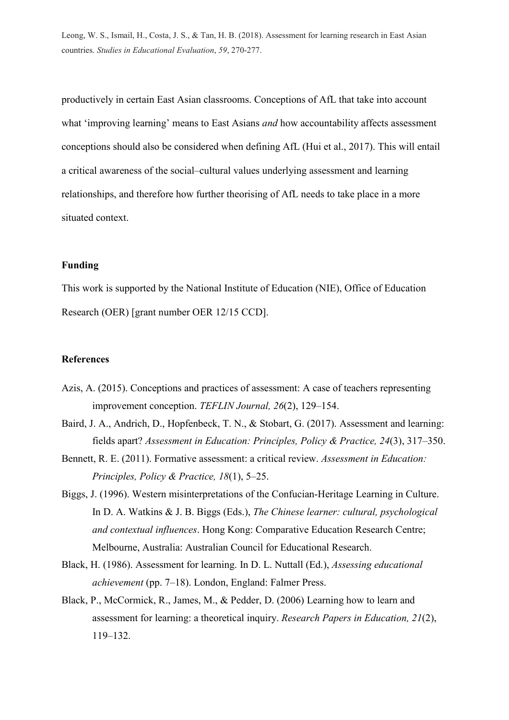productively in certain East Asian classrooms. Conceptions of AfL that take into account what 'improving learning' means to East Asians *and* how accountability affects assessment conceptions should also be considered when defining AfL (Hui et al., 2017). This will entail a critical awareness of the social–cultural values underlying assessment and learning relationships, and therefore how further theorising of AfL needs to take place in a more situated context.

## **Funding**

This work is supported by the National Institute of Education (NIE), Office of Education Research (OER) [grant number OER 12/15 CCD].

### **References**

- Azis, A. (2015). Conceptions and practices of assessment: A case of teachers representing improvement conception. *TEFLIN Journal, 26*(2), 129–154.
- Baird, J. A., Andrich, D., Hopfenbeck, T. N., & Stobart, G. (2017). Assessment and learning: fields apart? *Assessment in Education: Principles, Policy & Practice, 24*(3), 317–350.
- Bennett, R. E. (2011). Formative assessment: a critical review. *Assessment in Education: Principles, Policy & Practice, 18*(1), 5–25.
- Biggs, J. (1996). Western misinterpretations of the Confucian-Heritage Learning in Culture. In D. A. Watkins & J. B. Biggs (Eds.), *The Chinese learner: cultural, psychological and contextual influences*. Hong Kong: Comparative Education Research Centre; Melbourne, Australia: Australian Council for Educational Research.
- Black, H. (1986). Assessment for learning. In D. L. Nuttall (Ed.), *Assessing educational achievement* (pp. 7–18). London, England: Falmer Press.
- Black, P., McCormick, R., James, M., & Pedder, D. (2006) Learning how to learn and assessment for learning: a theoretical inquiry. *Research Papers in Education, 21*(2), 119–132.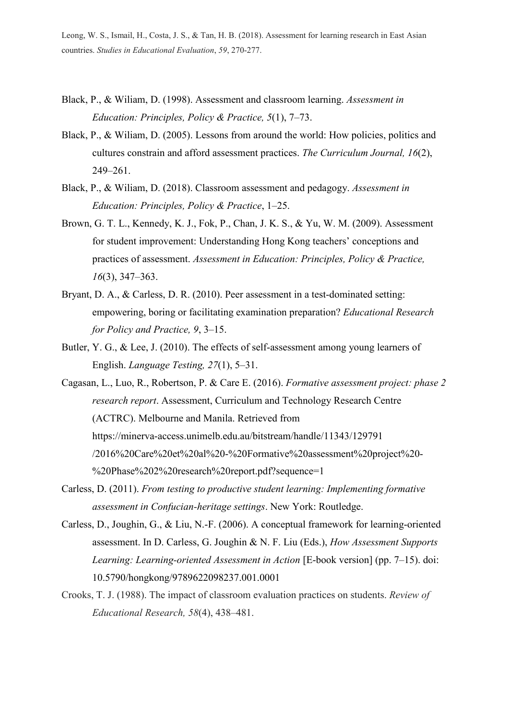- Black, P., & Wiliam, D. (1998). Assessment and classroom learning. *Assessment in Education: Principles, Policy & Practice, 5*(1), 7–73.
- Black, P., & Wiliam, D. (2005). Lessons from around the world: How policies, politics and cultures constrain and afford assessment practices. *The Curriculum Journal, 16*(2), 249–261.
- Black, P., & Wiliam, D. (2018). Classroom assessment and pedagogy. *Assessment in Education: Principles, Policy & Practice*, 1–25.
- Brown, G. T. L., Kennedy, K. J., Fok, P., Chan, J. K. S., & Yu, W. M. (2009). Assessment for student improvement: Understanding Hong Kong teachers' conceptions and practices of assessment. *Assessment in Education: Principles, Policy & Practice, 16*(3), 347–363.
- Bryant, D. A., & Carless, D. R. (2010). Peer assessment in a test-dominated setting: empowering, boring or facilitating examination preparation? *Educational Research for Policy and Practice, 9*, 3–15.
- Butler, Y. G., & Lee, J. (2010). The effects of self-assessment among young learners of English. *Language Testing, 27*(1), 5–31.
- Cagasan, L., Luo, R., Robertson, P. & Care E. (2016). *Formative assessment project: phase 2 research report*. Assessment, Curriculum and Technology Research Centre (ACTRC). Melbourne and Manila. Retrieved from https://minerva-access.unimelb.edu.au/bitstream/handle/11343/129791 /2016%20Care%20et%20al%20-%20Formative%20assessment%20project%20- %20Phase%202%20research%20report.pdf?sequence=1
- Carless, D. (2011). *From testing to productive student learning: Implementing formative assessment in Confucian-heritage settings*. New York: Routledge.
- Carless, D., Joughin, G., & Liu, N.-F. (2006). A conceptual framework for learning-oriented assessment. In D. Carless, G. Joughin & N. F. Liu (Eds.), *How Assessment Supports Learning: Learning-oriented Assessment in Action* [E-book version] (pp. 7–15). doi: 10.5790/hongkong/9789622098237.001.0001
- Crooks, T. J. (1988). The impact of classroom evaluation practices on students. *Review of Educational Research, 58*(4), 438–481.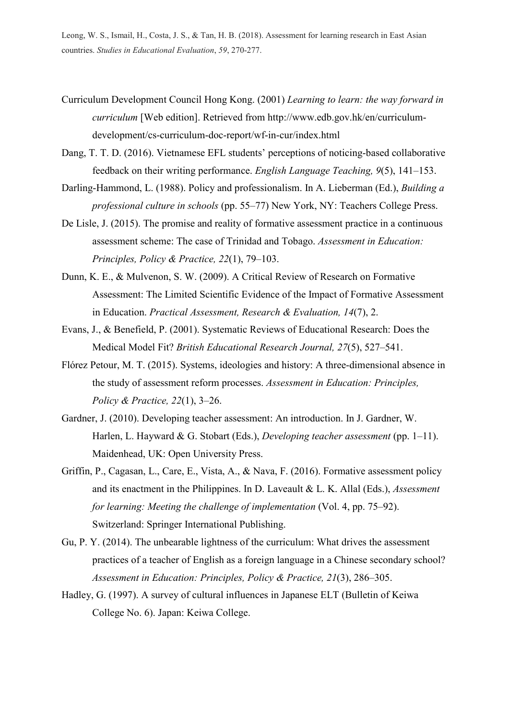- Curriculum Development Council Hong Kong. (2001) *Learning to learn: the way forward in curriculum* [Web edition]. Retrieved from [http://www.edb.gov.hk/en/curriculum](http://www.edb.gov.hk/en/curriculum-development/cs-curriculum-doc-report/wf-in-cur/index.html)[development/cs-curriculum-doc-report/wf-in-cur/index.html](http://www.edb.gov.hk/en/curriculum-development/cs-curriculum-doc-report/wf-in-cur/index.html)
- Dang, T. T. D. (2016). Vietnamese EFL students' perceptions of noticing-based collaborative feedback on their writing performance. *English Language Teaching, 9*(5), 141–153.
- Darling-Hammond, L. (1988). Policy and professionalism. In A. Lieberman (Ed.), *Building a professional culture in schools* (pp. 55–77) New York, NY: Teachers College Press.
- De Lisle, J. (2015). The promise and reality of formative assessment practice in a continuous assessment scheme: The case of Trinidad and Tobago. *Assessment in Education: Principles, Policy & Practice, 22*(1), 79–103.
- Dunn, K. E., & Mulvenon, S. W. (2009). A Critical Review of Research on Formative Assessment: The Limited Scientific Evidence of the Impact of Formative Assessment in Education. *Practical Assessment, Research & Evaluation, 14*(7), 2.
- Evans, J., & Benefield, P. (2001). Systematic Reviews of Educational Research: Does the Medical Model Fit? *British Educational Research Journal, 27*(5), 527–541.
- Flórez Petour, M. T. (2015). Systems, ideologies and history: A three-dimensional absence in the study of assessment reform processes. *Assessment in Education: Principles, Policy & Practice, 22*(1), 3–26.
- Gardner, J. (2010). Developing teacher assessment: An introduction. In J. Gardner, W. Harlen, L. Hayward & G. Stobart (Eds.), *Developing teacher assessment* (pp. 1–11). Maidenhead, UK: Open University Press.
- Griffin, P., Cagasan, L., Care, E., Vista, A., & Nava, F. (2016). Formative assessment policy and its enactment in the Philippines. In D. Laveault & L. K. Allal (Eds.), *Assessment for learning: Meeting the challenge of implementation* (Vol. 4, pp. 75–92). Switzerland: Springer International Publishing.
- Gu, P. Y. (2014). The unbearable lightness of the curriculum: What drives the assessment practices of a teacher of English as a foreign language in a Chinese secondary school? *Assessment in Education: Principles, Policy & Practice, 21*(3), 286–305.
- Hadley, G. (1997). A survey of cultural influences in Japanese ELT (Bulletin of Keiwa College No. 6). Japan: Keiwa College.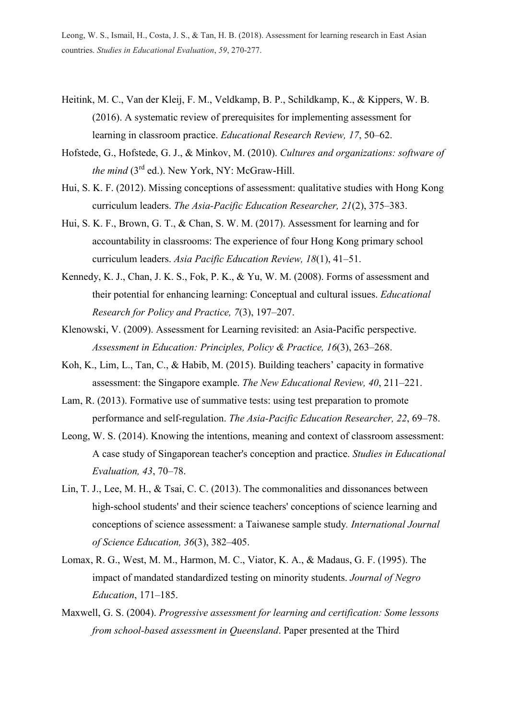- Heitink, M. C., Van der Kleij, F. M., Veldkamp, B. P., Schildkamp, K., & Kippers, W. B. (2016). A systematic review of prerequisites for implementing assessment for learning in classroom practice. *Educational Research Review, 17*, 50–62.
- Hofstede, G., Hofstede, G. J., & Minkov, M. (2010). *Cultures and organizations: software of the mind* (3<sup>rd</sup> ed.). New York, NY: McGraw-Hill.
- Hui, S. K. F. (2012). Missing conceptions of assessment: qualitative studies with Hong Kong curriculum leaders. *The Asia-Pacific Education Researcher, 21*(2), 375–383.
- Hui, S. K. F., Brown, G. T., & Chan, S. W. M. (2017). Assessment for learning and for accountability in classrooms: The experience of four Hong Kong primary school curriculum leaders. *Asia Pacific Education Review, 18*(1), 41–51.
- Kennedy, K. J., Chan, J. K. S., Fok, P. K., & Yu, W. M. (2008). Forms of assessment and their potential for enhancing learning: Conceptual and cultural issues. *Educational Research for Policy and Practice, 7*(3), 197–207.
- Klenowski, V. (2009). Assessment for Learning revisited: an Asia-Pacific perspective. *Assessment in Education: Principles, Policy & Practice, 16*(3), 263–268.
- Koh, K., Lim, L., Tan, C., & Habib, M. (2015). Building teachers' capacity in formative assessment: the Singapore example. *The New Educational Review, 40*, 211–221.
- Lam, R. (2013). Formative use of summative tests: using test preparation to promote performance and self-regulation. *The Asia-Pacific Education Researcher, 22*, 69–78.
- Leong, W. S. (2014). Knowing the intentions, meaning and context of classroom assessment: A case study of Singaporean teacher's conception and practice. *Studies in Educational Evaluation, 43*, 70–78.
- Lin, T. J., Lee, M. H., & Tsai, C. C. (2013). The commonalities and dissonances between high-school students' and their science teachers' conceptions of science learning and conceptions of science assessment: a Taiwanese sample study*. International Journal of Science Education, 36*(3), 382–405.
- Lomax, R. G., West, M. M., Harmon, M. C., Viator, K. A., & Madaus, G. F. (1995). The impact of mandated standardized testing on minority students. *Journal of Negro Education*, 171–185.
- Maxwell, G. S. (2004). *Progressive assessment for learning and certification: Some lessons from school-based assessment in Queensland*. Paper presented at the Third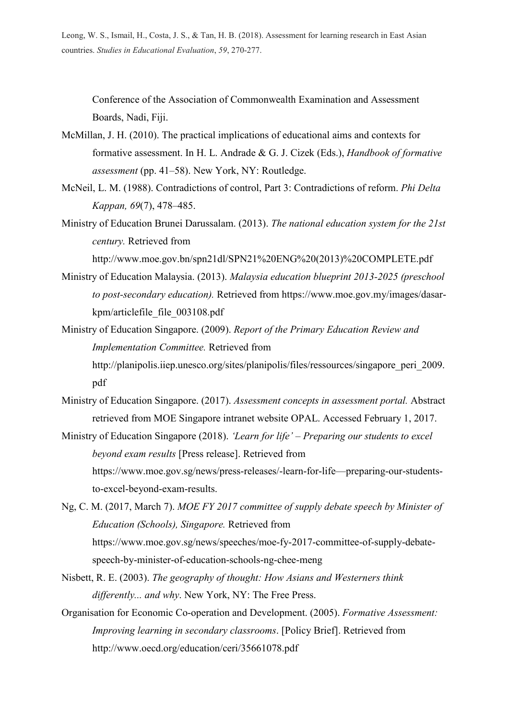Conference of the Association of Commonwealth Examination and Assessment Boards, Nadi, Fiji.

- McMillan, J. H. (2010). The practical implications of educational aims and contexts for formative assessment. In H. L. Andrade & G. J. Cizek (Eds.), *Handbook of formative assessment* (pp. 41–58). New York, NY: Routledge.
- McNeil, L. M. (1988). Contradictions of control, Part 3: Contradictions of reform. *Phi Delta Kappan, 69*(7), 478–485.
- Ministry of Education Brunei Darussalam. (2013). *The national education system for the 21st century.* Retrieved from

http://www.moe.gov.bn/spn21dl/SPN21%20ENG%20(2013)%20COMPLETE.pdf

- Ministry of Education Malaysia. (2013). *Malaysia education blueprint 2013-2025 (preschool to post-secondary education).* Retrieved from https://www.moe.gov.my/images/dasarkpm/articlefile\_file\_003108.pdf
- Ministry of Education Singapore. (2009). *Report of the Primary Education Review and Implementation Committee.* Retrieved from http://planipolis.iiep.unesco.org/sites/planipolis/files/ressources/singapore\_peri\_2009. pdf
- Ministry of Education Singapore. (2017). *Assessment concepts in assessment portal.* Abstract retrieved from MOE Singapore intranet website OPAL. Accessed February 1, 2017.

Ministry of Education Singapore (2018). *'Learn for life' – Preparing our students to excel beyond exam results* [Press release]. Retrieved from https://www.moe.gov.sg/news/press-releases/-learn-for-life—preparing-our-studentsto-excel-beyond-exam-results.

Ng, C. M. (2017, March 7). *MOE FY 2017 committee of supply debate speech by Minister of Education (Schools), Singapore.* Retrieved from https://www.moe.gov.sg/news/speeches/moe-fy-2017-committee-of-supply-debatespeech-by-minister-of-education-schools-ng-chee-meng

- Nisbett, R. E. (2003). *The geography of thought: How Asians and Westerners think differently... and why*. New York, NY: The Free Press.
- Organisation for Economic Co-operation and Development. (2005). *Formative Assessment: Improving learning in secondary classrooms*. [Policy Brief]. Retrieved from http://www.oecd.org/education/ceri/35661078.pdf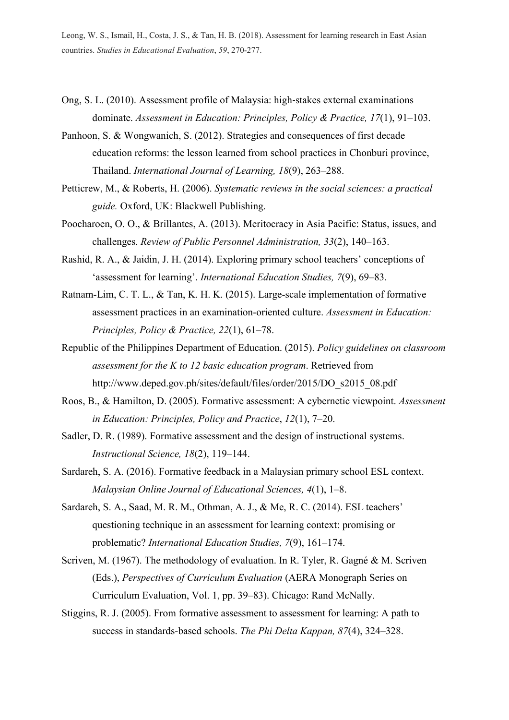- Ong, S. L. (2010). Assessment profile of Malaysia: high‐stakes external examinations dominate. *Assessment in Education: Principles, Policy & Practice, 17*(1), 91–103.
- Panhoon, S. & Wongwanich, S. (2012). Strategies and consequences of first decade education reforms: the lesson learned from school practices in Chonburi province, Thailand. *International Journal of Learning, 18*(9), 263–288.
- Petticrew, M., & Roberts, H. (2006). *Systematic reviews in the social sciences: a practical guide.* Oxford, UK: Blackwell Publishing.
- Poocharoen, O. O., & Brillantes, A. (2013). Meritocracy in Asia Pacific: Status, issues, and challenges. *Review of Public Personnel Administration, 33*(2), 140–163.
- Rashid, R. A., & Jaidin, J. H. (2014). Exploring primary school teachers' conceptions of 'assessment for learning'. *International Education Studies, 7*(9), 69–83.
- Ratnam-Lim, C. T. L., & Tan, K. H. K. (2015). Large-scale implementation of formative assessment practices in an examination-oriented culture. *Assessment in Education: Principles, Policy & Practice, 22*(1), 61–78.
- Republic of the Philippines Department of Education. (2015). *Policy guidelines on classroom assessment for the K to 12 basic education program*. Retrieved from http://www.deped.gov.ph/sites/default/files/order/2015/DO\_s2015\_08.pdf
- Roos, B., & Hamilton, D. (2005). Formative assessment: A cybernetic viewpoint. *Assessment in Education: Principles, Policy and Practice*, *12*(1), 7–20.
- Sadler, D. R. (1989). Formative assessment and the design of instructional systems. *Instructional Science, 18*(2), 119–144.
- Sardareh, S. A. (2016). Formative feedback in a Malaysian primary school ESL context. *Malaysian Online Journal of Educational Sciences, 4*(1), 1–8.
- Sardareh, S. A., Saad, M. R. M., Othman, A. J., & Me, R. C. (2014). ESL teachers' questioning technique in an assessment for learning context: promising or problematic? *International Education Studies, 7*(9), 161–174.
- Scriven, M. (1967). The methodology of evaluation. In R. Tyler, R. Gagné & M. Scriven (Eds.), *Perspectives of Curriculum Evaluation* (AERA Monograph Series on Curriculum Evaluation, Vol. 1, pp. 39–83). Chicago: Rand McNally.
- Stiggins, R. J. (2005). From formative assessment to assessment for learning: A path to success in standards-based schools. *The Phi Delta Kappan, 87*(4), 324–328.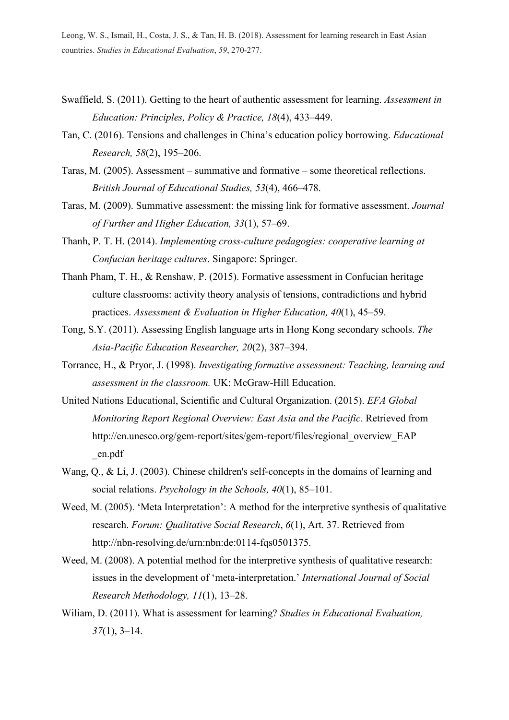- Swaffield, S. (2011). Getting to the heart of authentic assessment for learning. *Assessment in Education: Principles, Policy & Practice, 18*(4), 433–449.
- Tan, C. (2016). Tensions and challenges in China's education policy borrowing. *Educational Research, 58*(2), 195–206.
- Taras, M. (2005). Assessment summative and formative some theoretical reflections. *British Journal of Educational Studies, 53*(4), 466–478.
- Taras, M. (2009). Summative assessment: the missing link for formative assessment. *Journal of Further and Higher Education, 33*(1), 57–69.
- Thanh, P. T. H. (2014). *Implementing cross-culture pedagogies: cooperative learning at Confucian heritage cultures*. Singapore: Springer.
- Thanh Pham, T. H., & Renshaw, P. (2015). Formative assessment in Confucian heritage culture classrooms: activity theory analysis of tensions, contradictions and hybrid practices. *Assessment & Evaluation in Higher Education, 40*(1), 45–59.
- Tong, S.Y. (2011). Assessing English language arts in Hong Kong secondary schools. *The Asia-Pacific Education Researcher, 20*(2), 387–394.
- Torrance, H., & Pryor, J. (1998). *Investigating formative assessment: Teaching, learning and assessment in the classroom.* UK: McGraw-Hill Education.
- United Nations Educational, Scientific and Cultural Organization. (2015). *EFA Global Monitoring Report Regional Overview: East Asia and the Pacific*. Retrieved from http://en.unesco.org/gem-report/sites/gem-report/files/regional\_overview\_EAP \_en.pdf
- Wang, Q., & Li, J. (2003). Chinese children's self-concepts in the domains of learning and social relations. *Psychology in the Schools, 40*(1), 85–101.
- Weed, M. (2005). 'Meta Interpretation': A method for the interpretive synthesis of qualitative research. *Forum: Qualitative Social Research*, *6*(1), Art. 37. Retrieved from http://nbn-resolving.de/urn:nbn:de:0114-fqs0501375.
- Weed, M. (2008). A potential method for the interpretive synthesis of qualitative research: issues in the development of 'meta-interpretation.' *International Journal of Social Research Methodology, 11*(1), 13–28.
- Wiliam, D. (2011). What is assessment for learning? *Studies in Educational Evaluation, 37*(1), 3–14.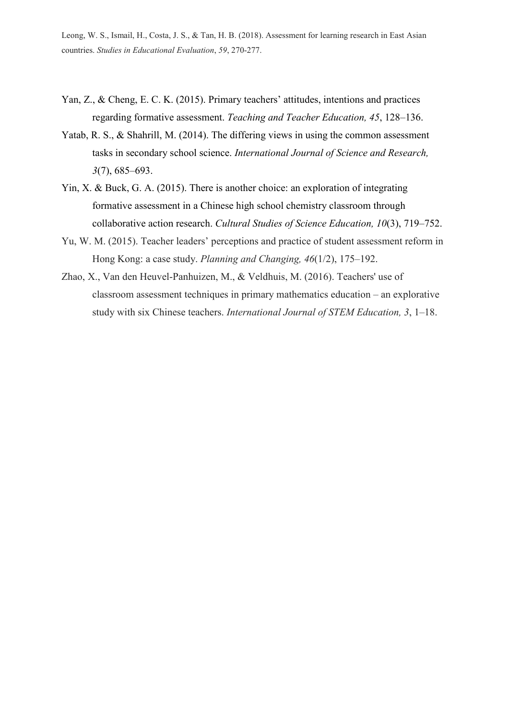- Yan, Z., & Cheng, E. C. K. (2015). Primary teachers' attitudes, intentions and practices regarding formative assessment. *Teaching and Teacher Education, 45*, 128–136.
- Yatab, R. S., & Shahrill, M. (2014). The differing views in using the common assessment tasks in secondary school science. *International Journal of Science and Research, 3*(7), 685–693.
- Yin, X. & Buck, G. A. (2015). There is another choice: an exploration of integrating formative assessment in a Chinese high school chemistry classroom through collaborative action research. *Cultural Studies of Science Education, 10*(3), 719–752.
- Yu, W. M. (2015). Teacher leaders' perceptions and practice of student assessment reform in Hong Kong: a case study. *Planning and Changing, 46*(1/2), 175–192.
- Zhao, X., Van den Heuvel-Panhuizen, M., & Veldhuis, M. (2016). Teachers' use of classroom assessment techniques in primary mathematics education – an explorative study with six Chinese teachers. *International Journal of STEM Education, 3*, 1–18.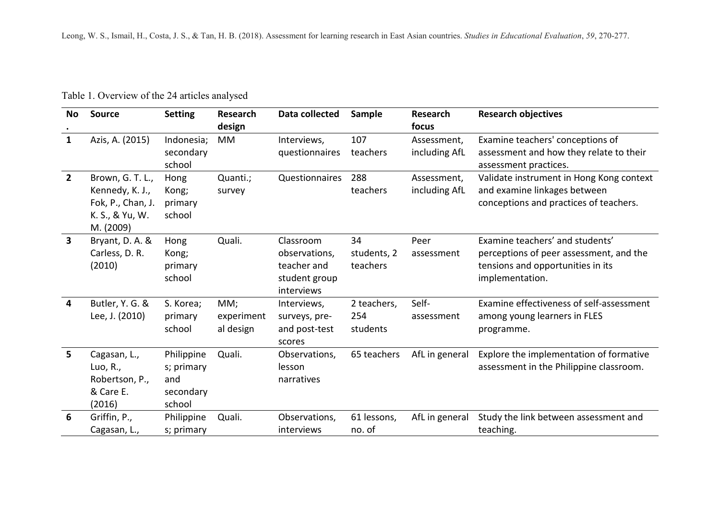Table 1. Overview of the 24 articles analysed

| No.                     | <b>Source</b>                                                                            | <b>Setting</b>                                         | <b>Research</b><br>design      | <b>Data collected</b>                                                    | Sample                         | <b>Research</b><br>focus     | <b>Research objectives</b>                                                                                                         |
|-------------------------|------------------------------------------------------------------------------------------|--------------------------------------------------------|--------------------------------|--------------------------------------------------------------------------|--------------------------------|------------------------------|------------------------------------------------------------------------------------------------------------------------------------|
| $\mathbf{1}$            | Azis, A. (2015)                                                                          | Indonesia;<br>secondary<br>school                      | MM                             | Interviews,<br>questionnaires                                            | 107<br>teachers                | Assessment,<br>including AfL | Examine teachers' conceptions of<br>assessment and how they relate to their<br>assessment practices.                               |
| $\overline{2}$          | Brown, G. T. L.,<br>Kennedy, K. J.,<br>Fok, P., Chan, J.<br>K. S., & Yu, W.<br>M. (2009) | Hong<br>Kong;<br>primary<br>school                     | Quanti.;<br>survey             | Questionnaires                                                           | 288<br>teachers                | Assessment,<br>including AfL | Validate instrument in Hong Kong context<br>and examine linkages between<br>conceptions and practices of teachers.                 |
| $\overline{\mathbf{3}}$ | Bryant, D. A. &<br>Carless, D. R.<br>(2010)                                              | Hong<br>Kong;<br>primary<br>school                     | Quali.                         | Classroom<br>observations,<br>teacher and<br>student group<br>interviews | 34<br>students, 2<br>teachers  | Peer<br>assessment           | Examine teachers' and students'<br>perceptions of peer assessment, and the<br>tensions and opportunities in its<br>implementation. |
| $\overline{4}$          | Butler, Y. G. &<br>Lee, J. (2010)                                                        | S. Korea;<br>primary<br>school                         | MM;<br>experiment<br>al design | Interviews,<br>surveys, pre-<br>and post-test<br>scores                  | 2 teachers,<br>254<br>students | Self-<br>assessment          | Examine effectiveness of self-assessment<br>among young learners in FLES<br>programme.                                             |
| 5.                      | Cagasan, L.,<br>Luo, R.,<br>Robertson, P.,<br>& Care E.<br>(2016)                        | Philippine<br>s; primary<br>and<br>secondary<br>school | Quali.                         | Observations,<br>lesson<br>narratives                                    | 65 teachers                    | AfL in general               | Explore the implementation of formative<br>assessment in the Philippine classroom.                                                 |
| 6                       | Griffin, P.,<br>Cagasan, L.,                                                             | Philippine<br>s; primary                               | Quali.                         | Observations,<br>interviews                                              | 61 lessons,<br>no. of          | AfL in general               | Study the link between assessment and<br>teaching.                                                                                 |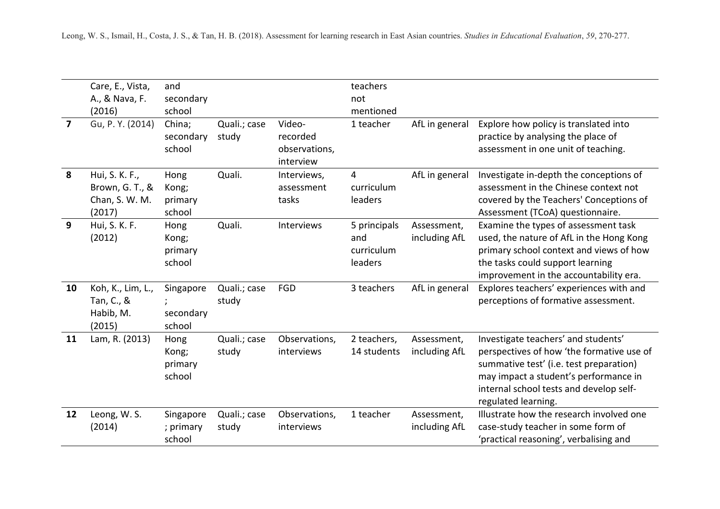|                | Care, E., Vista,                                              | and                                |                       |                                                  | teachers                                     |                              |                                                                                                                                                                                                                                        |
|----------------|---------------------------------------------------------------|------------------------------------|-----------------------|--------------------------------------------------|----------------------------------------------|------------------------------|----------------------------------------------------------------------------------------------------------------------------------------------------------------------------------------------------------------------------------------|
|                | A., & Nava, F.                                                | secondary                          |                       |                                                  | not                                          |                              |                                                                                                                                                                                                                                        |
|                | (2016)                                                        | school                             |                       |                                                  | mentioned                                    |                              |                                                                                                                                                                                                                                        |
| $\overline{7}$ | Gu, P. Y. (2014)                                              | China;<br>secondary<br>school      | Quali.; case<br>study | Video-<br>recorded<br>observations,<br>interview | 1 teacher                                    | AfL in general               | Explore how policy is translated into<br>practice by analysing the place of<br>assessment in one unit of teaching.                                                                                                                     |
| 8              | Hui, S. K. F.,<br>Brown, G. T., &<br>Chan, S. W. M.<br>(2017) | Hong<br>Kong;<br>primary<br>school | Quali.                | Interviews,<br>assessment<br>tasks               | 4<br>curriculum<br>leaders                   | AfL in general               | Investigate in-depth the conceptions of<br>assessment in the Chinese context not<br>covered by the Teachers' Conceptions of<br>Assessment (TCoA) questionnaire.                                                                        |
| 9              | Hui, S. K. F.<br>(2012)                                       | Hong<br>Kong;<br>primary<br>school | Quali.                | Interviews                                       | 5 principals<br>and<br>curriculum<br>leaders | Assessment,<br>including AfL | Examine the types of assessment task<br>used, the nature of AfL in the Hong Kong<br>primary school context and views of how<br>the tasks could support learning<br>improvement in the accountability era.                              |
| 10             | Koh, K., Lim, L.,<br>Tan, C., &<br>Habib, M.<br>(2015)        | Singapore<br>secondary<br>school   | Quali.; case<br>study | <b>FGD</b>                                       | 3 teachers                                   | AfL in general               | Explores teachers' experiences with and<br>perceptions of formative assessment.                                                                                                                                                        |
| 11             | Lam, R. (2013)                                                | Hong<br>Kong;<br>primary<br>school | Quali.; case<br>study | Observations,<br>interviews                      | 2 teachers,<br>14 students                   | Assessment,<br>including AfL | Investigate teachers' and students'<br>perspectives of how 'the formative use of<br>summative test' (i.e. test preparation)<br>may impact a student's performance in<br>internal school tests and develop self-<br>regulated learning. |
| 12             | Leong, W. S.<br>(2014)                                        | Singapore<br>; primary<br>school   | Quali.; case<br>study | Observations,<br>interviews                      | 1 teacher                                    | Assessment,<br>including AfL | Illustrate how the research involved one<br>case-study teacher in some form of<br>'practical reasoning', verbalising and                                                                                                               |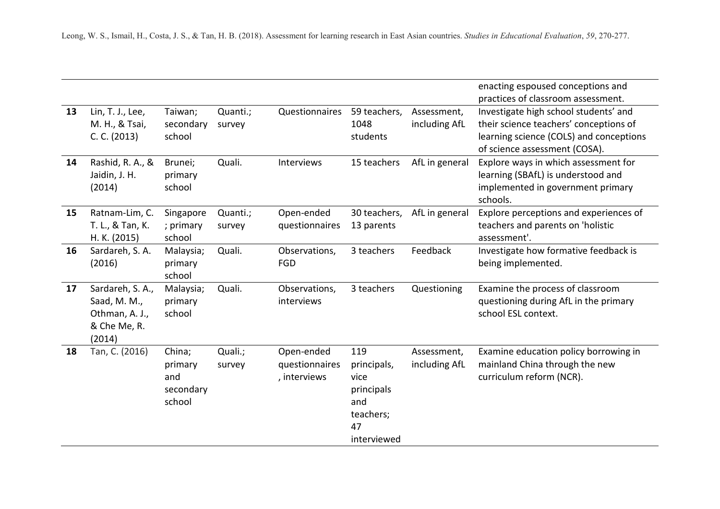| enacting espoused conceptions and                                        |
|--------------------------------------------------------------------------|
| practices of classroom assessment.                                       |
| Investigate high school students' and<br>59 teachers,<br>Assessment,     |
| including AfL<br>their science teachers' conceptions of                  |
| learning science (COLS) and conceptions                                  |
| of science assessment (COSA).                                            |
| 15 teachers<br>AfL in general<br>Explore ways in which assessment for    |
| learning (SBAfL) is understood and                                       |
| implemented in government primary                                        |
| schools.                                                                 |
| 30 teachers,<br>AfL in general<br>Explore perceptions and experiences of |
| teachers and parents on 'holistic<br>13 parents                          |
| assessment'.                                                             |
| Feedback<br>Investigate how formative feedback is<br>3 teachers          |
| being implemented.                                                       |
|                                                                          |
| Examine the process of classroom<br>3 teachers<br>Questioning            |
| questioning during AfL in the primary                                    |
| school ESL context.                                                      |
|                                                                          |
|                                                                          |
| Examine education policy borrowing in<br>Assessment,                     |
| mainland China through the new<br>principals,<br>including AfL           |
| curriculum reform (NCR).                                                 |
|                                                                          |
|                                                                          |
|                                                                          |
|                                                                          |
| interviewed                                                              |
| principals<br>teachers;                                                  |